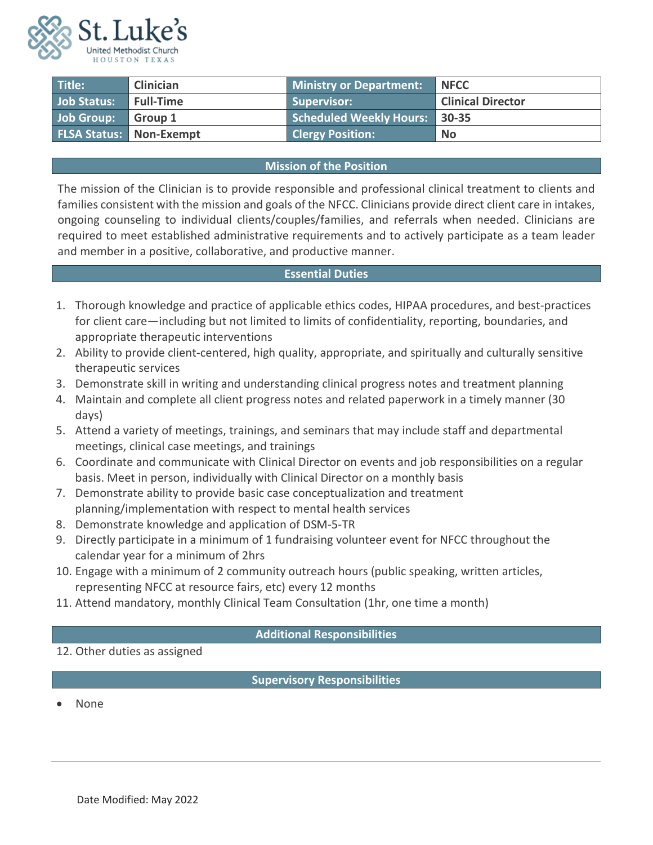

| Title:                           | <b>Clinician</b> | <b>Ministry or Department:</b>       | <b>NFCC</b>              |
|----------------------------------|------------------|--------------------------------------|--------------------------|
| Job Status:                      | <b>Full-Time</b> | <b>Supervisor:</b>                   | <b>Clinical Director</b> |
| Job Group:                       | Group 1          | <b>Scheduled Weekly Hours: 30-35</b> |                          |
| <b>FLSA Status:   Non-Exempt</b> |                  | <b>Clergy Position:</b>              | <b>No</b>                |

## **Mission of the Position**

The mission of the Clinician is to provide responsible and professional clinical treatment to clients and families consistent with the mission and goals of the NFCC. Clinicians provide direct client care in intakes, ongoing counseling to individual clients/couples/families, and referrals when needed. Clinicians are required to meet established administrative requirements and to actively participate as a team leader and member in a positive, collaborative, and productive manner.

## **Essential Duties**

- 1. Thorough knowledge and practice of applicable ethics codes, HIPAA procedures, and best-practices for client care—including but not limited to limits of confidentiality, reporting, boundaries, and appropriate therapeutic interventions
- 2. Ability to provide client-centered, high quality, appropriate, and spiritually and culturally sensitive therapeutic services
- 3. Demonstrate skill in writing and understanding clinical progress notes and treatment planning
- 4. Maintain and complete all client progress notes and related paperwork in a timely manner (30 days)
- 5. Attend a variety of meetings, trainings, and seminars that may include staff and departmental meetings, clinical case meetings, and trainings
- 6. Coordinate and communicate with Clinical Director on events and job responsibilities on a regular basis. Meet in person, individually with Clinical Director on a monthly basis
- 7. Demonstrate ability to provide basic case conceptualization and treatment planning/implementation with respect to mental health services
- 8. Demonstrate knowledge and application of DSM-5-TR
- 9. Directly participate in a minimum of 1 fundraising volunteer event for NFCC throughout the calendar year for a minimum of 2hrs
- 10. Engage with a minimum of 2 community outreach hours (public speaking, written articles, representing NFCC at resource fairs, etc) every 12 months
- 11. Attend mandatory, monthly Clinical Team Consultation (1hr, one time a month)

## **Additional Responsibilities**

12. Other duties as assigned

**Supervisory Responsibilities**

• None